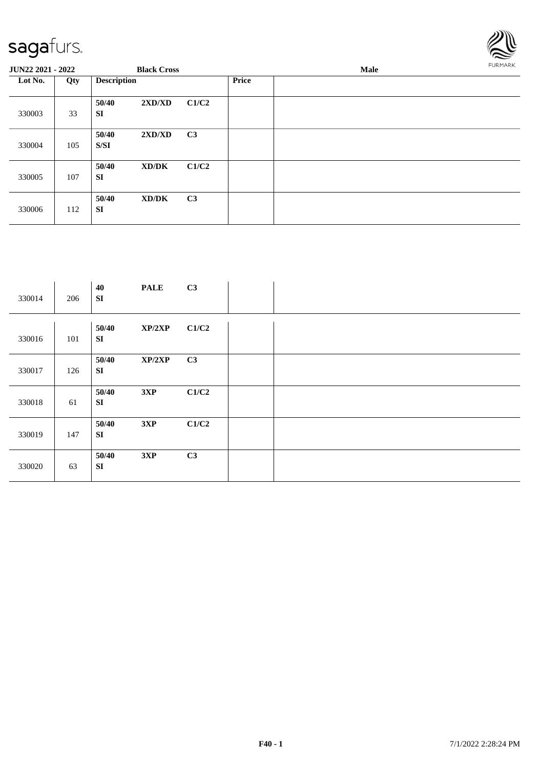

| <b>JUN22 2021 - 2022</b> |     |                    | <b>Black Cross</b> |                |              | FURMARK |  |
|--------------------------|-----|--------------------|--------------------|----------------|--------------|---------|--|
| Lot No.                  | Qty | <b>Description</b> |                    |                | <b>Price</b> |         |  |
| 330003                   | 33  | 50/40<br><b>SI</b> | 2XD/XD             | C1/C2          |              |         |  |
| 330004                   | 105 | 50/40<br>S/SI      | 2XD/XD             | C <sub>3</sub> |              |         |  |
| 330005                   | 107 | 50/40<br><b>SI</b> | XD/DK              | C1/C2          |              |         |  |
| 330006                   | 112 | 50/40<br><b>SI</b> | XD/DK              | C <sub>3</sub> |              |         |  |

| 330014 | 206 | 40<br><b>SI</b>     | <b>PALE</b> | C3    |  |
|--------|-----|---------------------|-------------|-------|--|
| 330016 | 101 | 50/40<br>SI         | XP/2XP      | C1/C2 |  |
| 330017 | 126 | 50/40<br>SI         | XP/2XP      | C3    |  |
| 330018 | 61  | 50/40<br>${\bf SI}$ | 3XP         | C1/C2 |  |
| 330019 | 147 | 50/40<br>SI         | 3XP         | C1/C2 |  |
| 330020 | 63  | 50/40<br>SI         | 3XP         | C3    |  |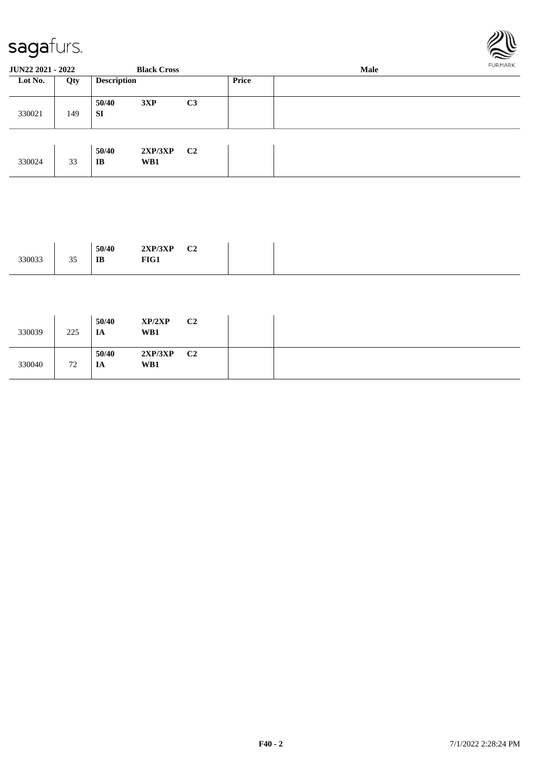



| <b>JUN22 2021 - 2022</b> |     |                    | <b>Black Cross</b> |                |              | Male | FURMARK |
|--------------------------|-----|--------------------|--------------------|----------------|--------------|------|---------|
| Lot No.<br>330021        | Qty | <b>Description</b> |                    |                | <b>Price</b> |      |         |
|                          | 149 | 50/40<br><b>SI</b> | 3XP                | C <sub>3</sub> |              |      |         |
| 330024                   | 33  | 50/40<br>IB        | 2XP/3XP<br>WB1     | C <sub>2</sub> |              |      |         |

|        |                    | 50/40 | 2VDI2VD<br>1 JAL<br>$4\Delta$ | $\sim$<br>◡▵<br>__ |
|--------|--------------------|-------|-------------------------------|--------------------|
| 330033 | $\sim$ $\sim$<br>ັ | IB    | FIG1                          |                    |

| 330039 | 225 | 50/40<br>IA | XP/2XP<br>WB1  | C <sub>2</sub> |
|--------|-----|-------------|----------------|----------------|
| 330040 | 72  | 50/40<br>IA | 2XP/3XP<br>WB1 | C <sub>2</sub> |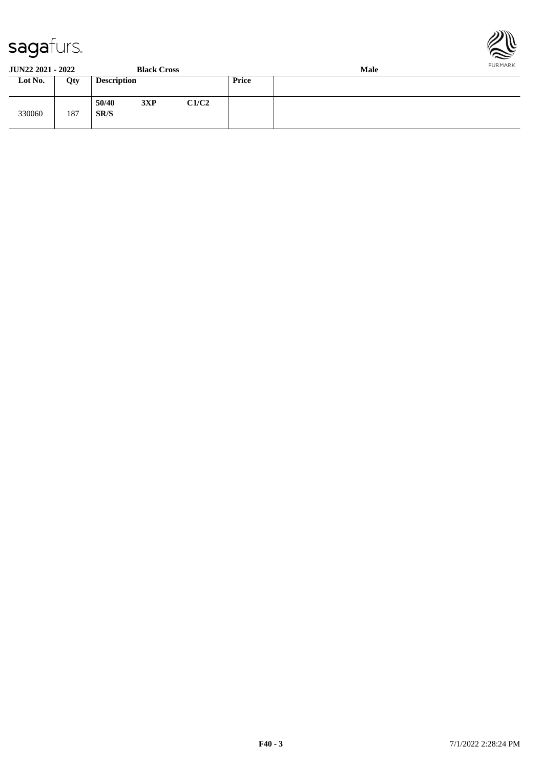

**JUN22 2021 - 2022 Black Cross Male Loty Description Price** 330060 187 **50/40 3XP C1/C2 SR/S**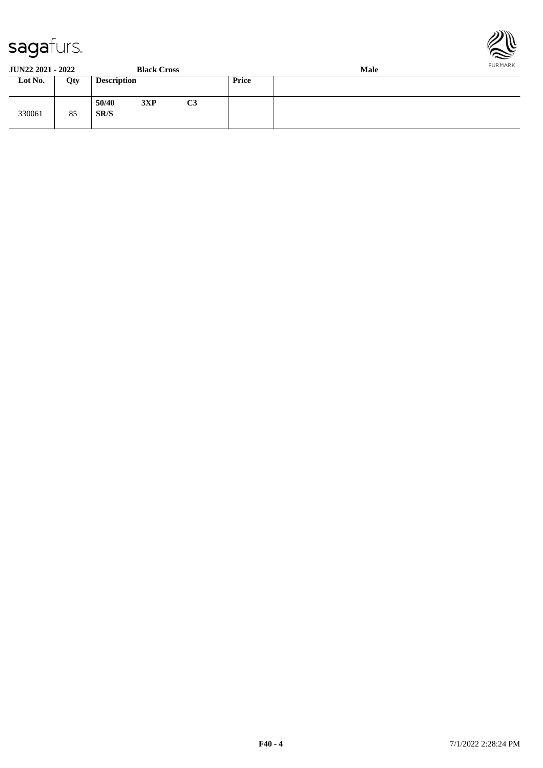

| $\tilde{\phantom{a}}$<br><b>JUN22 2021 - 2022</b> |     |                    | <b>Black Cross</b> |                |       | Male | $\sim$<br><b>FURMARK</b> |
|---------------------------------------------------|-----|--------------------|--------------------|----------------|-------|------|--------------------------|
| Lot No.                                           | Qty | <b>Description</b> |                    |                | Price |      |                          |
| 330061                                            | 85  | 50/40<br>SR/S      | 3XP                | C <sub>3</sub> |       |      |                          |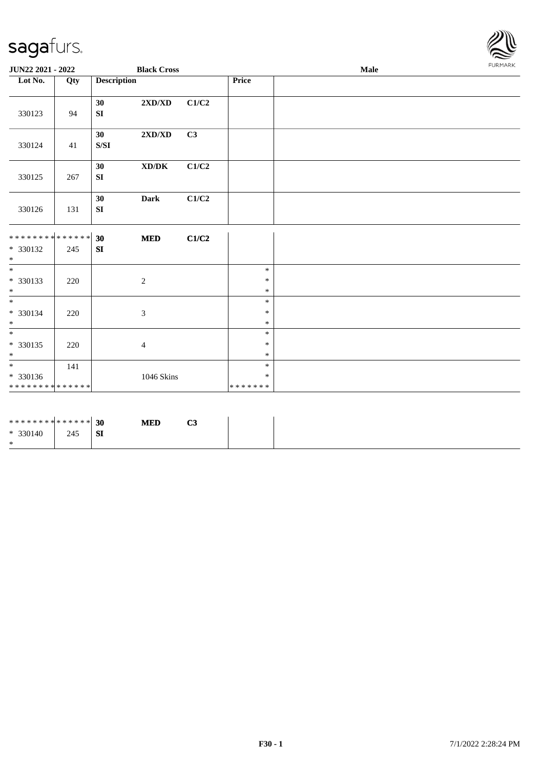

| JUN22 2021 - 2022                                        |                                          |                                                                                                           | <b>Black Cross</b>               |                           | Male                                                     |  |  |  |  |
|----------------------------------------------------------|------------------------------------------|-----------------------------------------------------------------------------------------------------------|----------------------------------|---------------------------|----------------------------------------------------------|--|--|--|--|
| Lot No.                                                  | Qty                                      | <b>Description</b>                                                                                        |                                  |                           | <b>Price</b>                                             |  |  |  |  |
| 330123                                                   | 94                                       | 30<br>SI                                                                                                  | $2{\bf X}{\bf D}/{\bf X}{\bf D}$ | C1/C2                     |                                                          |  |  |  |  |
| 330124                                                   | 41                                       | 30 <sup>1</sup><br>$\ensuremath{\mathrm{S}}\xspace/\ensuremath{\mathrm{S}}\xspace\ensuremath{\mathrm{I}}$ | $2{\bf X}{\bf D}/{\bf X}{\bf D}$ | C3                        |                                                          |  |  |  |  |
| 330125                                                   | 267                                      | 30<br>SI                                                                                                  | XD/DK                            | C1/C2                     |                                                          |  |  |  |  |
| 330126                                                   | 131                                      | 30<br>${\bf S}{\bf I}$                                                                                    | <b>Dark</b>                      | $\mathbf{C1}/\mathbf{C2}$ |                                                          |  |  |  |  |
| ******** <mark>******</mark><br>* 330132<br>$\ast$       | 245                                      | 30<br>SI                                                                                                  | $\bf MED$                        | C1/C2                     |                                                          |  |  |  |  |
| $\overline{\phantom{1}}$<br>* 330133<br>$\ast$           | 220                                      |                                                                                                           | $\sqrt{2}$                       |                           | $\ast$<br>$\ast$<br>$\ast$                               |  |  |  |  |
| $\overline{\ast}$<br>* 330134<br>$\ast$                  | 220                                      |                                                                                                           | $\mathfrak{Z}$                   |                           | $\ast$<br>$\ast$<br>$\ast$                               |  |  |  |  |
| $\overline{\phantom{a}^*}$<br>$* 330135$<br>$\ast$       | 220                                      |                                                                                                           | $\overline{4}$                   |                           | $\ast$<br>$\ast$<br>$\ast$                               |  |  |  |  |
| $\overline{\phantom{a}^*}$<br>* 330136<br>************** | 141                                      |                                                                                                           | 1046 Skins                       |                           | $\ast$<br>$\ast$<br>* * * * * * *                        |  |  |  |  |
|                                                          | the contract of the contract of the con- |                                                                                                           |                                  |                           | the contract of the contract of the contract of the con- |  |  |  |  |

| ******** <mark>******</mark> 30 |     |           | <b>MED</b> | C3 |
|---------------------------------|-----|-----------|------------|----|
| $* 330140$                      | 245 | <b>SI</b> |            |    |
| ∗                               |     |           |            |    |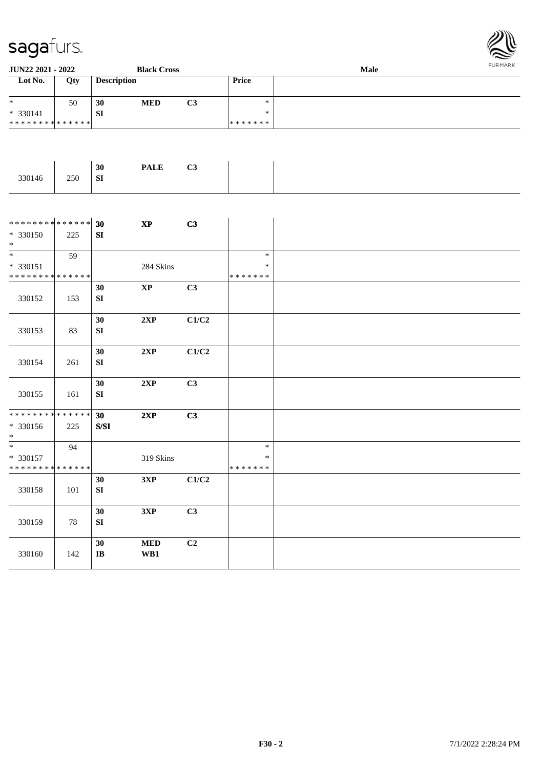

| JUN22 2021 - 2022                                 |        |                                                                                              | <b>Black Cross</b>                   |       |                             | <b>LOKINKY</b> |  |
|---------------------------------------------------|--------|----------------------------------------------------------------------------------------------|--------------------------------------|-------|-----------------------------|----------------|--|
| Lot No.                                           | Qty    | <b>Description</b>                                                                           |                                      |       | Price                       |                |  |
| $\ast$<br>* 330141                                | 50     | 30<br>SI                                                                                     | $\bf MED$                            | C3    | $\ast$<br>$\ast$            |                |  |
| * * * * * * * * * * * * * *                       |        |                                                                                              |                                      |       | * * * * * * *               |                |  |
|                                                   |        |                                                                                              |                                      |       |                             |                |  |
| 330146                                            | 250    | 30<br>${\bf SI}$                                                                             | <b>PALE</b>                          | C3    |                             |                |  |
|                                                   |        |                                                                                              |                                      |       |                             |                |  |
| ************** 30<br>$* 330150$<br>$*$            | 225    | ${\bf S}{\bf I}$                                                                             | $\bold{XP}$                          | C3    |                             |                |  |
|                                                   | 59     |                                                                                              |                                      |       | $\ast$                      |                |  |
| * 330151                                          |        |                                                                                              | 284 Skins                            |       | $\ast$                      |                |  |
| * * * * * * * * * * * * * *                       |        |                                                                                              |                                      |       | * * * * * * *               |                |  |
| 330152                                            | 153    | 30<br>${\bf SI}$                                                                             | $\bold{XP}$                          | C3    |                             |                |  |
| 330153                                            | 83     | 30<br>${\bf SI}$                                                                             | 2XP                                  | C1/C2 |                             |                |  |
| 330154                                            | 261    | 30<br>SI                                                                                     | 2XP                                  | C1/C2 |                             |                |  |
| 330155                                            | 161    | 30<br>SI                                                                                     | 2XP                                  | C3    |                             |                |  |
| * * * * * * * * * * * * * *<br>* 330156           | 225    | 30<br>$\ensuremath{\mathrm{S}}\xspace/\ensuremath{\mathrm{S}}\xspace\ensuremath{\mathrm{I}}$ | 2XP                                  | C3    |                             |                |  |
| $\ast$                                            |        |                                                                                              |                                      |       |                             |                |  |
| $*$<br>$* 330157$<br>******** <mark>******</mark> | 94     |                                                                                              | 319 Skins                            |       | $\ast$<br>$\ast$<br>******* |                |  |
|                                                   |        | 30                                                                                           | 3XP                                  | C1/C2 |                             |                |  |
| 330158                                            | 101    | ${\bf SI}$                                                                                   |                                      |       |                             |                |  |
| 330159                                            | $78\,$ | 30<br>${\bf SI}$                                                                             | 3XP                                  | C3    |                             |                |  |
| 330160                                            | 142    | 30<br>$\bf IB$                                                                               | $\bf MED$<br>$\mathbf{W}\mathbf{B1}$ | C2    |                             |                |  |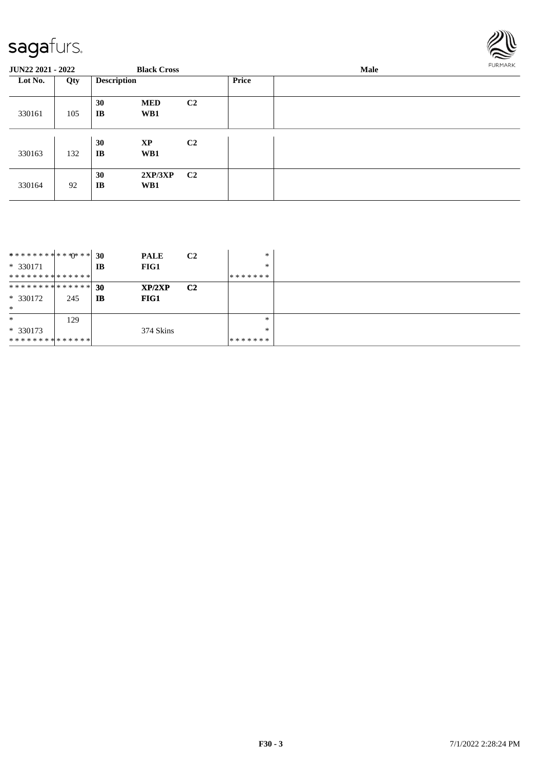

| <b>JUN22 2021 - 2022</b> |     |                    | <b>Black Cross</b> |                |              | Male |  |  |
|--------------------------|-----|--------------------|--------------------|----------------|--------------|------|--|--|
| Lot No.                  | Qty | <b>Description</b> |                    |                | <b>Price</b> |      |  |  |
| 330161                   | 105 | 30<br>IB           | <b>MED</b><br>WB1  | C <sub>2</sub> |              |      |  |  |
| 330163                   | 132 | 30<br><b>IB</b>    | XP<br>WB1          | C <sub>2</sub> |              |      |  |  |
| 330164                   | 92  | 30<br><b>IB</b>    | 2XP/3XP<br>WB1     | C2             |              |      |  |  |

| **************    |     | <b>30</b> | <b>PALE</b> | C <sub>2</sub> | *       |  |
|-------------------|-----|-----------|-------------|----------------|---------|--|
| $* 330171$        |     | IB        | FIG1        |                | *       |  |
| **************    |     |           |             |                | ******* |  |
| ************** 30 |     |           | XP/2XP      | C <sub>2</sub> |         |  |
| $*330172$         | 245 | IB        | FIG1        |                |         |  |
| $\ast$            |     |           |             |                |         |  |
| $\ast$            | 129 |           |             |                | *       |  |
| $*330173$         |     |           | 374 Skins   |                | *       |  |
| **************    |     |           |             |                | ******* |  |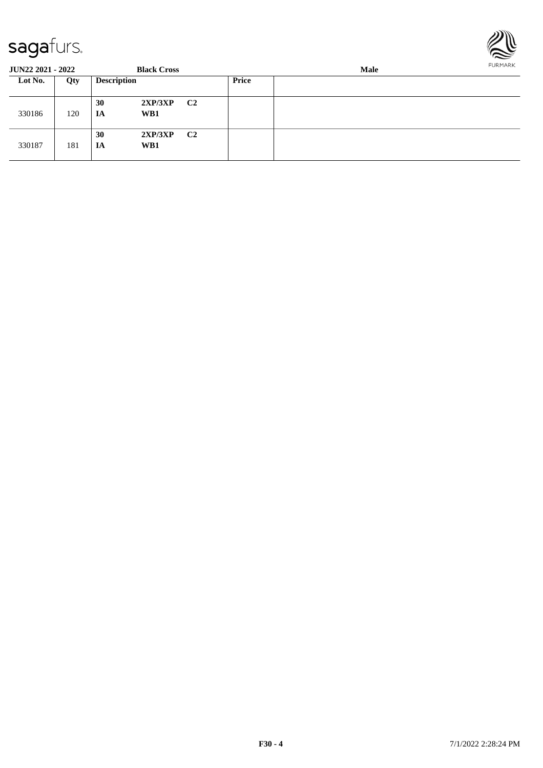

| <b>JUN22 2021 - 2022</b> |     |                    | <b>Black Cross</b> |    | Male  |  |  |  |
|--------------------------|-----|--------------------|--------------------|----|-------|--|--|--|
| Lot No.                  | Qty | <b>Description</b> |                    |    | Price |  |  |  |
| 330186                   | 120 | 30<br>IA           | 2XP/3XP<br>WB1     | C2 |       |  |  |  |
| 330187                   | 181 | 30<br><b>IA</b>    | 2XP/3XP<br>WB1     | C2 |       |  |  |  |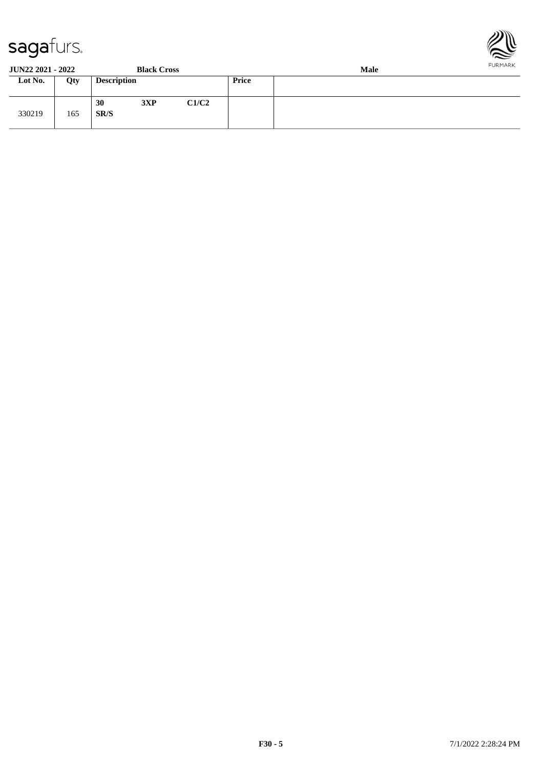

**JUN22 2021 - 2022 Black Cross Male**

| <b>)SS</b> |  |  |  |
|------------|--|--|--|
|            |  |  |  |

| -------- |     |                    | _____ __ __ |       | ------- |  |  |  |
|----------|-----|--------------------|-------------|-------|---------|--|--|--|
| Lot No.  | Qty | <b>Description</b> |             |       | Price   |  |  |  |
| 330219   | 165 | 30<br>SR/S         | 3XP         | C1/C2 |         |  |  |  |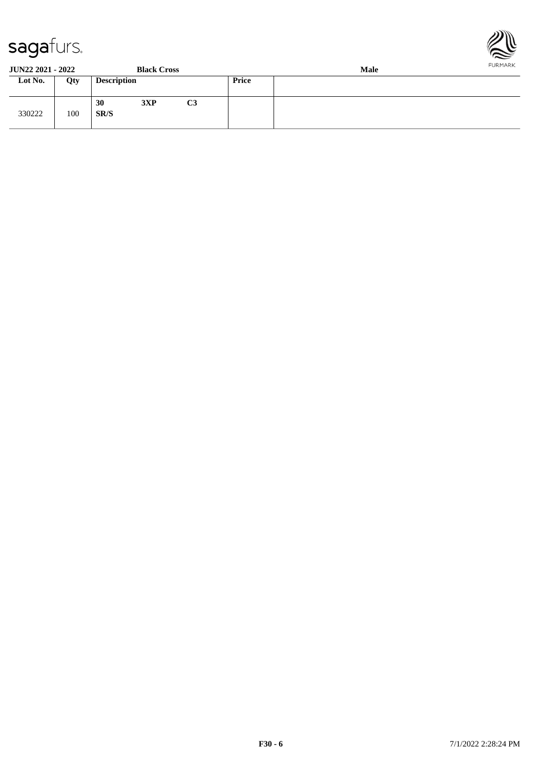

**JUN22 2021 - 2022 Black Cross Male**

| JUI <i>nee Evel - Evee</i> |     |                    | <b>DRUA CLUSS</b> |                | waar  |  |  |  |
|----------------------------|-----|--------------------|-------------------|----------------|-------|--|--|--|
| Lot No.                    | Qty | <b>Description</b> |                   |                | Price |  |  |  |
| 330222                     | 100 | 30<br>SR/S         | 3XP               | C <sub>3</sub> |       |  |  |  |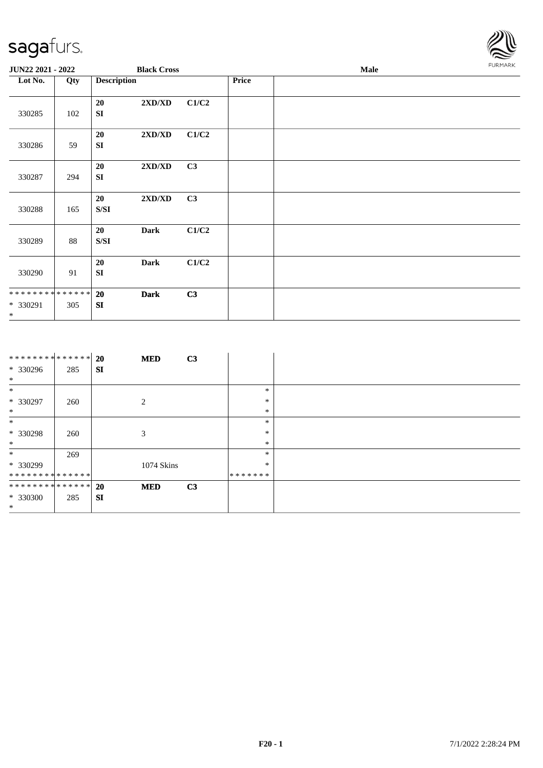

| JUN22 2021 - 2022                    |     |                    | <b>Black Cross</b>               |       |       | FURMARK |  |
|--------------------------------------|-----|--------------------|----------------------------------|-------|-------|---------|--|
| Lot No.                              | Qty | <b>Description</b> |                                  |       | Price |         |  |
| 330285                               | 102 | 20<br>SI           | 2XD/XD                           | C1/C2 |       |         |  |
| 330286                               | 59  | 20<br>SI           | 2XD/XD                           | C1/C2 |       |         |  |
| 330287                               | 294 | 20<br>SI           | 2XD/XD                           | C3    |       |         |  |
| 330288                               | 165 | 20<br>S/SI         | $2{\bf X}{\bf D}/{\bf X}{\bf D}$ | C3    |       |         |  |
| 330289                               | 88  | 20<br>${\bf S/SI}$ | <b>Dark</b>                      | C1/C2 |       |         |  |
| 330290                               | 91  | 20<br>SI           | <b>Dark</b>                      | C1/C2 |       |         |  |
| **************<br>* 330291<br>$\ast$ | 305 | 20<br>SI           | <b>Dark</b>                      | C3    |       |         |  |

| ************** 20 |     |    | <b>MED</b>     | C3 |         |  |
|-------------------|-----|----|----------------|----|---------|--|
| * 330296          | 285 | SI |                |    |         |  |
| $\ast$            |     |    |                |    |         |  |
| $\ast$            |     |    |                |    | $\ast$  |  |
| * 330297          | 260 |    | $\overline{2}$ |    | $\ast$  |  |
| $\ast$            |     |    |                |    | $\ast$  |  |
| $\ast$            |     |    |                |    | $\ast$  |  |
| $*330298$         | 260 |    | 3              |    | $\ast$  |  |
| $\ast$            |     |    |                |    | $\ast$  |  |
| $\ast$            | 269 |    |                |    | $\ast$  |  |
| * 330299          |     |    | 1074 Skins     |    | ∗       |  |
| **************    |     |    |                |    | ******* |  |
| ************** 20 |     |    | <b>MED</b>     | C3 |         |  |
| * 330300          | 285 | SI |                |    |         |  |
| $\ast$            |     |    |                |    |         |  |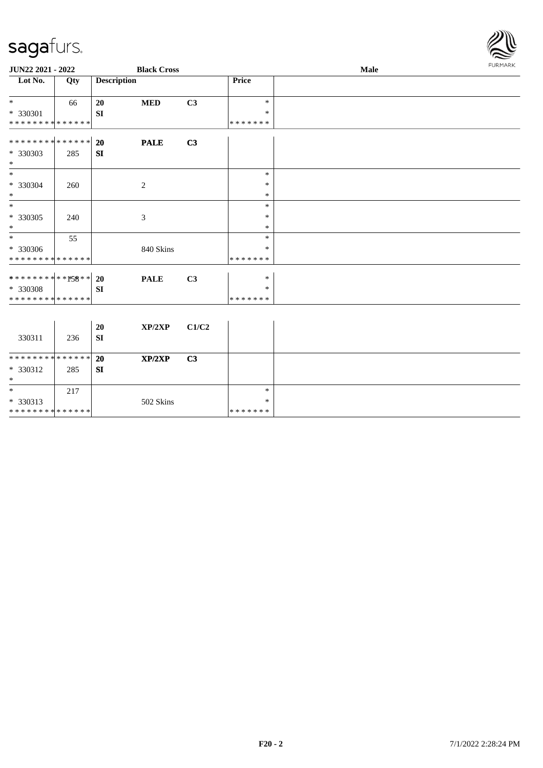\* \* \* \* \* \* \* \* \* \* \* \* \* \* \*



| JUN22 2021 - 2022                                                               |     |                        | <b>Black Cross</b> |       | Male                              |  |  |  |
|---------------------------------------------------------------------------------|-----|------------------------|--------------------|-------|-----------------------------------|--|--|--|
| Lot No.                                                                         | Qty | <b>Description</b>     |                    |       | Price                             |  |  |  |
| $*$<br>$* 330301$<br>* * * * * * * * * * * * * *                                | 66  | 20<br><b>SI</b>        | <b>MED</b>         | C3    | $\ast$<br>*<br>* * * * * * *      |  |  |  |
| * * * * * * * * * * * * * * *<br>* 330303<br>$\ast$                             | 285 | 20<br>SI               | <b>PALE</b>        | C3    |                                   |  |  |  |
| $*$<br>* 330304<br>$\ast$                                                       | 260 |                        | $\overline{c}$     |       | $\ast$<br>$\ast$<br>$\ast$        |  |  |  |
| $\ast$<br>* 330305<br>$\ast$                                                    | 240 |                        | $\mathfrak{Z}$     |       | $\ast$<br>$\ast$<br>$\ast$        |  |  |  |
| $*$<br>* 330306<br>* * * * * * * * * * * * * *                                  | 55  |                        | 840 Skins          |       | $\ast$<br>*<br>* * * * * * *      |  |  |  |
| ******** <mark>**<b>*58</b>**</mark><br>* 330308<br>* * * * * * * * * * * * * * |     | <b>20</b><br><b>SI</b> | <b>PALE</b>        | C3    | $\ast$<br>$\ast$<br>* * * * * * * |  |  |  |
| 330311                                                                          | 236 | 20<br><b>SI</b>        | XP/2XP             | C1/C2 |                                   |  |  |  |
| * * * * * * * * * * * * * * *<br>* 330312<br>$\ast$                             | 285 | 20<br>${\bf SI}$       | XP/2XP             | C3    |                                   |  |  |  |
| $\ast$<br>* 330313                                                              | 217 |                        | 502 Skins          |       | $\ast$<br>$\ast$                  |  |  |  |

\* \* \* \* \* \* \*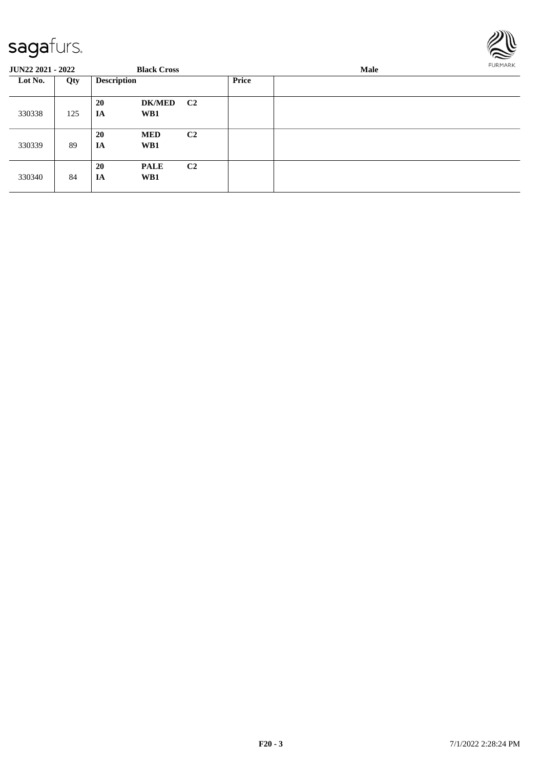

| <b>JUN22 2021 - 2022</b> |     |                    | <b>Black Cross</b> |                |       | Male |  |  |
|--------------------------|-----|--------------------|--------------------|----------------|-------|------|--|--|
| Lot No.                  | Qty | <b>Description</b> |                    |                | Price |      |  |  |
| 330338                   | 125 | 20<br>IA           | DK/MED C2<br>WB1   |                |       |      |  |  |
| 330339                   | 89  | 20<br>IA           | <b>MED</b><br>WB1  | C <sub>2</sub> |       |      |  |  |
| 330340                   | 84  | 20<br>IA           | <b>PALE</b><br>WB1 | C <sub>2</sub> |       |      |  |  |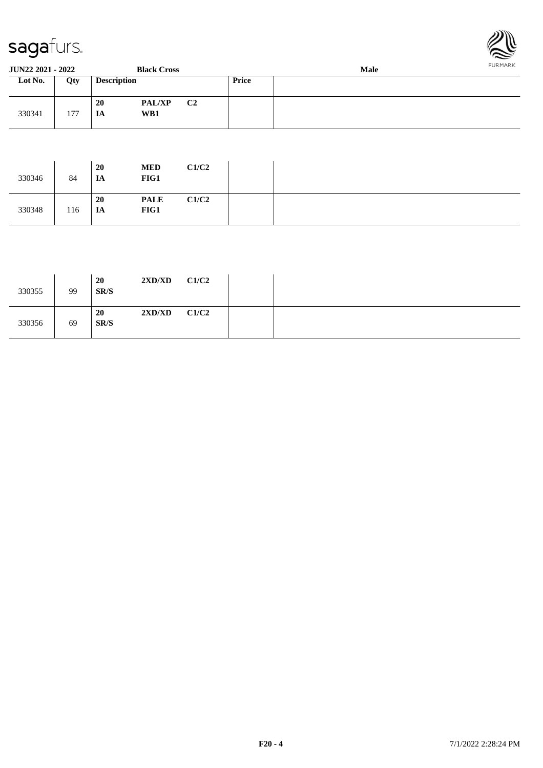

| <b>JUN22 2021 - 2022</b><br><b>Black Cross</b> |     |                    |                      |                |       | FURMARK<br>Male |  |  |  |  |
|------------------------------------------------|-----|--------------------|----------------------|----------------|-------|-----------------|--|--|--|--|
| Lot No.                                        | Qty | <b>Description</b> |                      |                | Price |                 |  |  |  |  |
| 330341                                         | 177 | <b>20</b><br>IA    | <b>PAL/XP</b><br>WB1 | C <sub>2</sub> |       |                 |  |  |  |  |

| 330346 | 84  | <b>20</b><br>IA | <b>MED</b><br>FIG1  | C1/C2 |  |
|--------|-----|-----------------|---------------------|-------|--|
| 330348 | 116 | 20<br>IA        | <b>PALE</b><br>FIG1 | C1/C2 |  |

| 330355 | 99 | <b>20</b><br>SR/S | 2XD/XD | C1/C2 |  |
|--------|----|-------------------|--------|-------|--|
| 330356 | 69 | <b>20</b><br>SR/S | 2XD/XD | C1/C2 |  |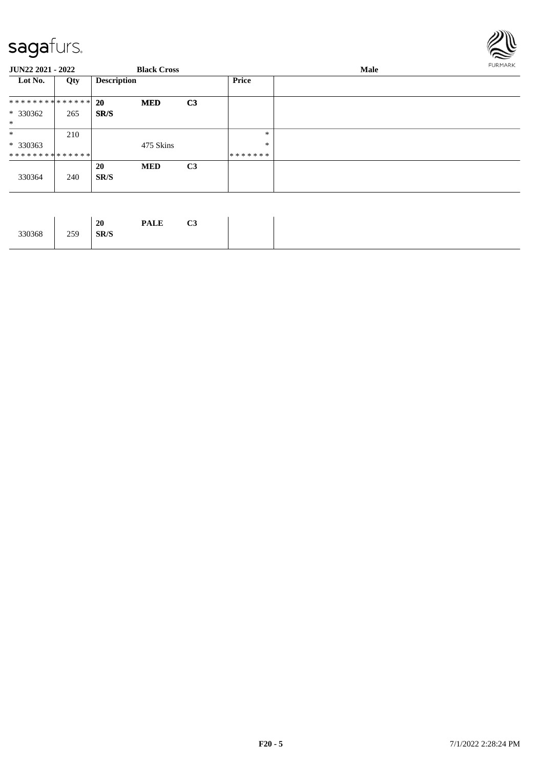

| <b>JUN22 2021 - 2022</b>                   |     |                    | <b>Black Cross</b> |                |                   | Male | <b>FURMARK</b> |
|--------------------------------------------|-----|--------------------|--------------------|----------------|-------------------|------|----------------|
| Lot No.                                    | Qty | <b>Description</b> |                    |                | Price             |      |                |
| ************** 20                          |     |                    | <b>MED</b>         | C <sub>3</sub> |                   |      |                |
| * 330362<br>$\ast$                         | 265 | SR/S               |                    |                |                   |      |                |
| $\ast$                                     | 210 |                    |                    |                | $\ast$            |      |                |
| $*330363$<br>* * * * * * * * * * * * * * * |     |                    | 475 Skins          |                | $\ast$<br>******* |      |                |
| 330364                                     | 240 | 20<br>SR/S         | <b>MED</b>         | C <sub>3</sub> |                   |      |                |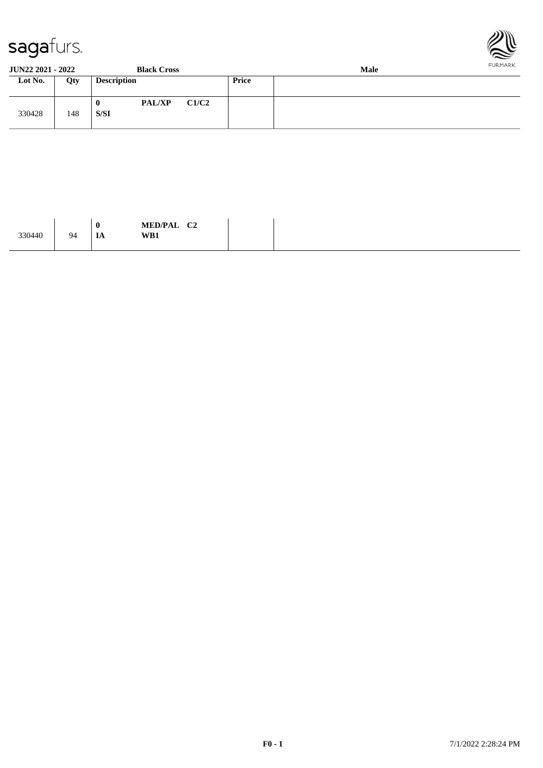



#### **JUN22 2021 - 2022 Black Cross Male Loty Description Price** 330428 148 **0 PAL/XP C1/C2 S/SI**

| <b>MED/PAL</b><br>$\mathcal{C}$<br>◡▵<br>the contract of the contract of the contract of the contract of the contract of the contract of the contract of<br>WB1 | $\boldsymbol{0}$<br>94<br>IA |
|-----------------------------------------------------------------------------------------------------------------------------------------------------------------|------------------------------|
|-----------------------------------------------------------------------------------------------------------------------------------------------------------------|------------------------------|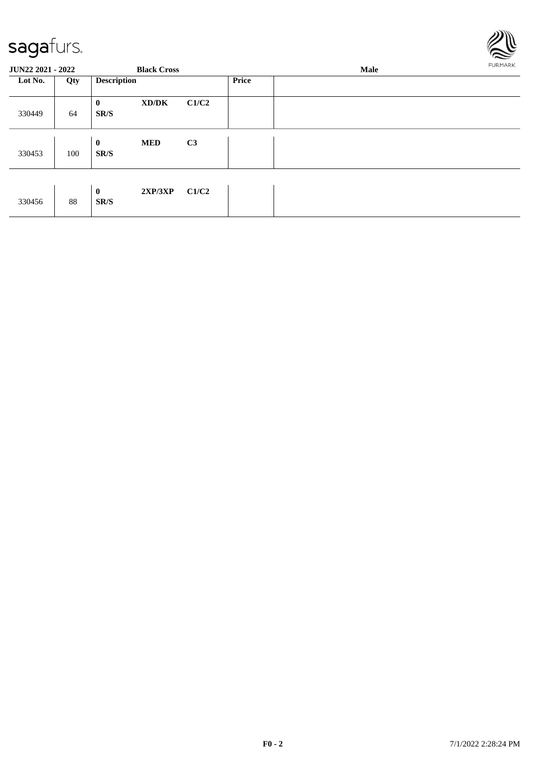

| <b>JUN22 2021 - 2022</b> |     |                    | <b>Black Cross</b> |       | Male         |  |  |
|--------------------------|-----|--------------------|--------------------|-------|--------------|--|--|
| Lot No.                  | Qty | <b>Description</b> |                    |       | <b>Price</b> |  |  |
| 330449                   | 64  | $\bf{0}$<br>SR/S   | XD/DK              | C1/C2 |              |  |  |
| 330453                   | 100 | $\bf{0}$<br>SR/S   | <b>MED</b>         | C3    |              |  |  |
| 330456                   | 88  | $\bf{0}$<br>SR/S   | 2XP/3XP            | C1/C2 |              |  |  |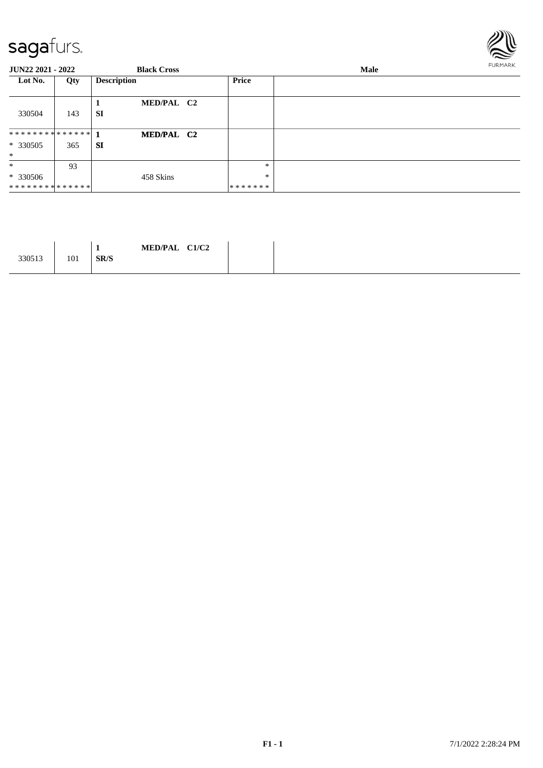

| <b>JUN22 2021 - 2022</b> |     | <b>Black Cross</b>      |         | <b>Male</b> | FURMARK |  |
|--------------------------|-----|-------------------------|---------|-------------|---------|--|
| Lot No.                  | Qty | <b>Description</b>      | Price   |             |         |  |
| 330504                   | 143 | MED/PAL C2<br><b>SI</b> |         |             |         |  |
| ************** 1         |     | MED/PAL C2              |         |             |         |  |
| $*330505$                | 365 | SI                      |         |             |         |  |
| $\ast$                   |     |                         |         |             |         |  |
| $\ast$                   | 93  |                         | *       |             |         |  |
| $*330506$                |     | 458 Skins               | $\ast$  |             |         |  |
| **************           |     |                         | ******* |             |         |  |

|  | C1/C2<br><b>MED/PAL</b><br>. .<br>SR/S | 101 | 330513 |
|--|----------------------------------------|-----|--------|
|--|----------------------------------------|-----|--------|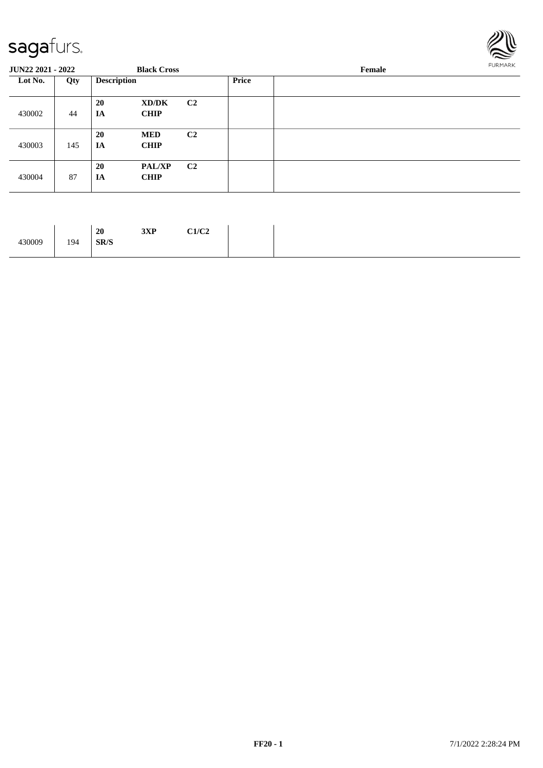

| <b>JUN22 2021 - 2022</b> |     |                    | <b>Black Cross</b>           |                |       | Female |  |  |
|--------------------------|-----|--------------------|------------------------------|----------------|-------|--------|--|--|
| Lot No.                  | Qty | <b>Description</b> |                              |                | Price |        |  |  |
| 430002                   | 44  | 20<br>IA           | XD/DK<br><b>CHIP</b>         | C <sub>2</sub> |       |        |  |  |
| 430003                   | 145 | 20<br>IA           | <b>MED</b><br><b>CHIP</b>    | C <sub>2</sub> |       |        |  |  |
| 430004                   | 87  | 20<br>IA           | <b>PAL/XP</b><br><b>CHIP</b> | C <sub>2</sub> |       |        |  |  |

| 2VD<br>C1/C2<br>20<br>ЈАГ<br>194<br>SR/S |
|------------------------------------------|
|------------------------------------------|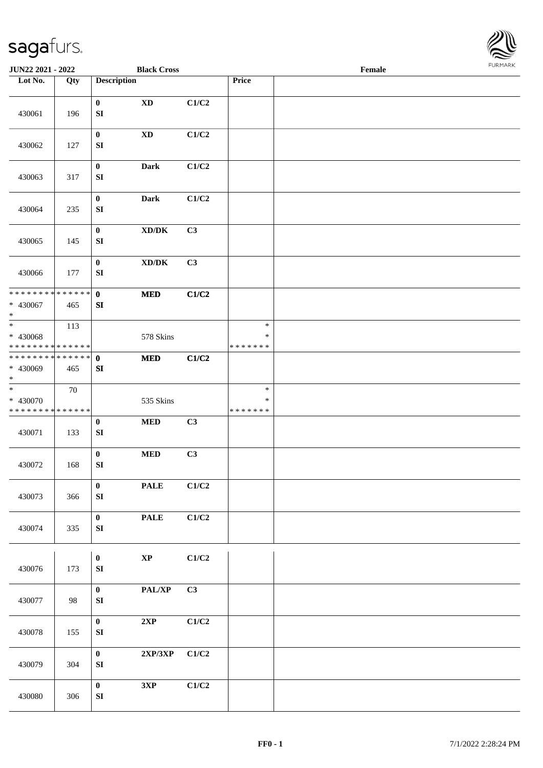

| JUN22 2021 - 2022                                            |        |                                                                      | <b>Black Cross</b>        |                                   | Female |  |
|--------------------------------------------------------------|--------|----------------------------------------------------------------------|---------------------------|-----------------------------------|--------|--|
| Lot No.                                                      | Qty    | <b>Description</b>                                                   |                           | Price                             |        |  |
| 430061                                                       | 196    | $\bf{0}$<br>$\mathbf{X}\mathbf{D}$<br>${\bf S}{\bf I}$               | C1/C2                     |                                   |        |  |
| 430062                                                       | 127    | $\bf{0}$<br>$\mathbf{X}\mathbf{D}$<br>${\bf S}{\bf I}$               | C1/C2                     |                                   |        |  |
| 430063                                                       | 317    | $\boldsymbol{0}$<br><b>Dark</b><br>${\bf S}{\bf I}$                  | C1/C2                     |                                   |        |  |
| 430064                                                       | 235    | Dark<br>$\bf{0}$<br>${\bf S}{\bf I}$                                 | C1/C2                     |                                   |        |  |
| 430065                                                       | 145    | $\boldsymbol{0}$<br>$\bold{X}\bold{D}/\bold{D}\bold{K}$<br>SI        | C3                        |                                   |        |  |
| 430066                                                       | 177    | $\boldsymbol{0}$<br>$\boldsymbol{\text{XD}/\text{DK}}$<br>${\bf SI}$ | C3                        |                                   |        |  |
| ******** <mark>******</mark><br>* 430067<br>$\ast$           | 465    | $\mathbf{0}$<br>$\bf MED$<br>${\bf SI}$                              | C1/C2                     |                                   |        |  |
| $\overline{\ast}$<br>* 430068<br>* * * * * * * * * * * * * * | 113    | 578 Skins                                                            |                           | $\ast$<br>$\ast$<br>* * * * * * * |        |  |
| * * * * * * * * * * * * * * *<br>* 430069<br>$\ast$          | 465    | $\bf MED$<br>$\mathbf{0}$<br>SI                                      | C1/C2                     |                                   |        |  |
| $\overline{\ast}$<br>* 430070<br>* * * * * * * * * * * * * * | $70\,$ | 535 Skins                                                            |                           | $\ast$<br>*<br>* * * * * * *      |        |  |
| 430071                                                       | 133    | $\boldsymbol{0}$<br>$\bf MED$<br>${\bf S}{\bf I}$                    | C3                        |                                   |        |  |
| 430072                                                       | 168    | $\boldsymbol{0}$<br>$\bf MED$<br>${\bf SI}$                          | C3                        |                                   |        |  |
| 430073                                                       | 366    | $\pmb{0}$<br>$\ensuremath{\mathsf{PALE}}$<br>${\bf SI}$              | C1/C2                     |                                   |        |  |
| 430074                                                       | 335    | $\pmb{0}$<br><b>PALE</b><br>${\bf S}{\bf I}$                         | C1/C2                     |                                   |        |  |
| 430076                                                       | 173    | $\bold{XP}$<br>$\bf{0}$<br>SI                                        | C1/C2                     |                                   |        |  |
| 430077                                                       | 98     | $\mathbf{PAL}/\mathbf{XP}$<br>$\bf{0}$<br>${\bf SI}$                 | C3                        |                                   |        |  |
| 430078                                                       | 155    | $\boldsymbol{0}$<br>2XP<br>${\bf S}{\bf I}$                          | C1/C2                     |                                   |        |  |
| 430079                                                       | 304    | $\pmb{0}$<br>$2{\bf XP}/3{\bf XP}$<br>${\bf S}{\bf I}$               | C1/C2                     |                                   |        |  |
| 430080                                                       | 306    | $\bf{0}$<br>$3{\bf X}{\bf P}$<br>${\bf SI}$                          | $\mathbf{C1}/\mathbf{C2}$ |                                   |        |  |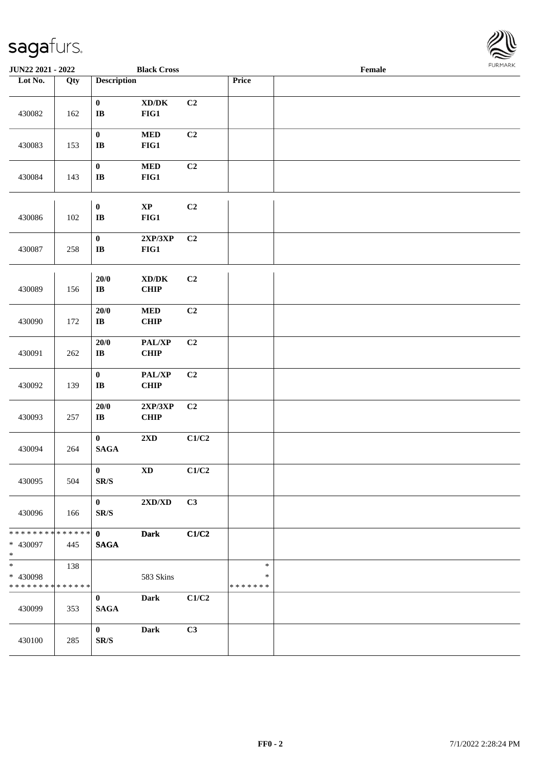

| <b>JUN22 2021 - 2022</b>                            |     |                                              | <b>Black Cross</b>                                 |       |                                   | Female |  |
|-----------------------------------------------------|-----|----------------------------------------------|----------------------------------------------------|-------|-----------------------------------|--------|--|
| Lot No.                                             | Qty | <b>Description</b>                           |                                                    |       | Price                             |        |  |
| 430082                                              | 162 | $\mathbf{0}$<br>$\mathbf{I}\mathbf{B}$       | $\bold{X}\bold{D}/\bold{D}\bold{K}$<br>FIG1        | C2    |                                   |        |  |
| 430083                                              | 153 | $\pmb{0}$<br>$\bf I\bf B$                    | $\bf MED$<br>FIG1                                  | C2    |                                   |        |  |
| 430084                                              | 143 | $\pmb{0}$<br>$\bf{IB}$                       | $\bf MED$<br>FIG1                                  | C2    |                                   |        |  |
| 430086                                              | 102 | $\pmb{0}$<br>$\mathbf I\mathbf B$            | $\bold{XP}$<br>FIG1                                | C2    |                                   |        |  |
| 430087                                              | 258 | $\pmb{0}$<br>$\bf IB$                        | 2XP/3XP<br>FIG1                                    | C2    |                                   |        |  |
| 430089                                              | 156 | $20/0$<br>$\bf IB$                           | $\bold{X}\bold{D}/\bold{D}\bold{K}$<br><b>CHIP</b> | C2    |                                   |        |  |
| 430090                                              | 172 | $20/0$<br>$\bf{IB}$                          | <b>MED</b><br><b>CHIP</b>                          | C2    |                                   |        |  |
| 430091                                              | 262 | 20/0<br>$\bf IB$                             | PAL/XP<br>CHIP                                     | C2    |                                   |        |  |
| 430092                                              | 139 | $\pmb{0}$<br>$\bf{IB}$                       | PAL/XP<br><b>CHIP</b>                              | C2    |                                   |        |  |
| 430093                                              | 257 | $20/0$<br>$\bf{IB}$                          | 2XP/3XP<br><b>CHIP</b>                             | C2    |                                   |        |  |
| 430094                                              | 264 | $\mathbf{0}$<br>$\mathbf{SAGA}$              | 2XD                                                | C1/C2 |                                   |        |  |
| 430095                                              | 504 | $\pmb{0}$<br>SR/S                            | $\mathbf{X}\mathbf{D}$                             | C1/C2 |                                   |        |  |
| 430096                                              | 166 | $\mathbf{0}$<br>$\mathbf{SR}/\mathbf{S}$     | $2{\bf X}{\bf D}/{\bf X}{\bf D}$                   | C3    |                                   |        |  |
| * * * * * * * * * * * * * * *<br>* 430097<br>$\ast$ | 445 | $\mathbf{0}$<br><b>SAGA</b>                  | <b>Dark</b>                                        | C1/C2 |                                   |        |  |
| $*$<br>* 430098<br>* * * * * * * * * * * * * *      | 138 |                                              | 583 Skins                                          |       | $\ast$<br>$\ast$<br>* * * * * * * |        |  |
| 430099                                              | 353 | $\bf{0}$<br><b>SAGA</b>                      | Dark                                               | C1/C2 |                                   |        |  |
| 430100                                              | 285 | $\boldsymbol{0}$<br>$\mathbf{SR}/\mathbf{S}$ | <b>Dark</b>                                        | C3    |                                   |        |  |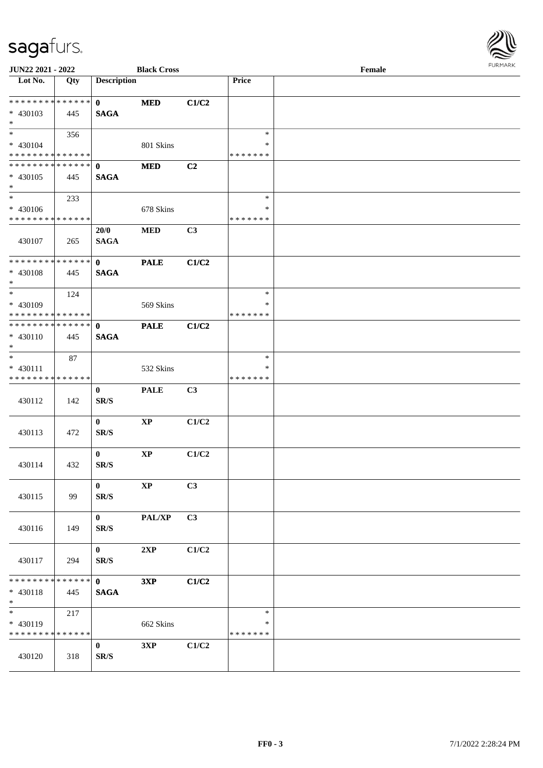

| JUN22 2021 - 2022                |             |                          | <b>Black Cross</b> |                |               | Female | <b>FURPIARA</b> |
|----------------------------------|-------------|--------------------------|--------------------|----------------|---------------|--------|-----------------|
| $\overline{\phantom{1}}$ Lot No. | Qty         | <b>Description</b>       |                    |                | Price         |        |                 |
| * * * * * * * * * * * * * * *    |             | $\mathbf{0}$             | <b>MED</b>         | C1/C2          |               |        |                 |
| $* 430103$                       | 445         | <b>SAGA</b>              |                    |                |               |        |                 |
| $*$                              |             |                          |                    |                |               |        |                 |
|                                  | 356         |                          |                    |                | $\ast$        |        |                 |
| * 430104                         |             |                          | 801 Skins          |                | $\ast$        |        |                 |
| * * * * * * * * * * * * * *      |             |                          |                    |                | * * * * * * * |        |                 |
| * * * * * * * * * * * * * * *    |             | $\mathbf{0}$             | <b>MED</b>         | C2             |               |        |                 |
| $* 430105$                       | 445         | <b>SAGA</b>              |                    |                |               |        |                 |
| $*$                              |             |                          |                    |                |               |        |                 |
| $*$                              | 233         |                          |                    |                | $\ast$        |        |                 |
| * 430106                         |             |                          | 678 Skins          |                | ∗             |        |                 |
| * * * * * * * * * * * * * *      |             |                          |                    |                | * * * * * * * |        |                 |
|                                  |             | 20/0                     | <b>MED</b>         | C3             |               |        |                 |
| 430107                           | 265         | <b>SAGA</b>              |                    |                |               |        |                 |
|                                  |             |                          |                    |                |               |        |                 |
| ******** <mark>******</mark>     |             | $\mathbf{0}$             | <b>PALE</b>        | C1/C2          |               |        |                 |
| $* 430108$                       | 445         | <b>SAGA</b>              |                    |                |               |        |                 |
| $*$                              |             |                          |                    |                |               |        |                 |
| $*$                              | 124         |                          |                    |                | $\ast$        |        |                 |
| * 430109                         |             |                          | 569 Skins          |                | ∗             |        |                 |
| * * * * * * * * * * * * * *      |             |                          |                    |                | * * * * * * * |        |                 |
| * * * * * * * * * * * * * *      |             | $\mathbf{0}$             | <b>PALE</b>        | C1/C2          |               |        |                 |
| * 430110                         | 445         | <b>SAGA</b>              |                    |                |               |        |                 |
| $*$                              |             |                          |                    |                |               |        |                 |
| $*$                              | 87          |                          |                    |                | $\ast$        |        |                 |
| * 430111                         |             |                          | 532 Skins          |                | $\ast$        |        |                 |
| * * * * * * * * * * * * * *      |             |                          |                    |                | * * * * * * * |        |                 |
|                                  |             | $\bf{0}$                 | <b>PALE</b>        | C <sub>3</sub> |               |        |                 |
| 430112                           | 142         | SR/S                     |                    |                |               |        |                 |
|                                  |             |                          |                    |                |               |        |                 |
|                                  |             | $\bf{0}$                 | $\bold{XP}$        | C1/C2          |               |        |                 |
| 430113                           | 472         | SR/S                     |                    |                |               |        |                 |
|                                  |             |                          |                    |                |               |        |                 |
|                                  |             | $\mathbf{0}$             | $\bold{XP}$        | C1/C2          |               |        |                 |
| 430114                           | 432         | SR/S                     |                    |                |               |        |                 |
|                                  |             |                          |                    |                |               |        |                 |
|                                  |             | $\bf{0}$                 | $\bold{XP}$        | C3             |               |        |                 |
| 430115                           | 99          | $\mathbf{SR}/\mathbf{S}$ |                    |                |               |        |                 |
|                                  |             |                          |                    |                |               |        |                 |
|                                  |             | $\mathbf{0}$             | PAL/XP             | C3             |               |        |                 |
| 430116                           | 149         | SR/S                     |                    |                |               |        |                 |
|                                  |             |                          |                    |                |               |        |                 |
|                                  |             | $\bf{0}$                 | 2XP                | C1/C2          |               |        |                 |
| 430117                           | 294         | SR/S                     |                    |                |               |        |                 |
|                                  |             |                          |                    |                |               |        |                 |
| * * * * * * * *                  | ******      | $\mathbf{0}$             | 3XP                | C1/C2          |               |        |                 |
| $* 430118$                       | 445         | <b>SAGA</b>              |                    |                |               |        |                 |
| $*$                              |             |                          |                    |                |               |        |                 |
| $*$                              | 217         |                          |                    |                | $\ast$        |        |                 |
| * 430119                         |             |                          | 662 Skins          |                | ∗             |        |                 |
| * * * * * * * *                  | * * * * * * |                          |                    |                | * * * * * * * |        |                 |
|                                  |             | $\mathbf{0}$             | 3XP                | C1/C2          |               |        |                 |
| 430120                           | 318         | $\mathbf{SR}/\mathbf{S}$ |                    |                |               |        |                 |
|                                  |             |                          |                    |                |               |        |                 |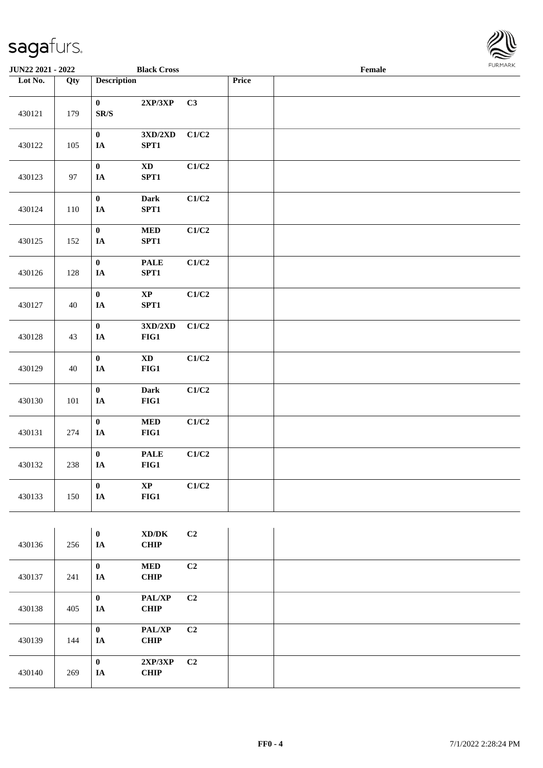$\overline{\phantom{a}}$ 



| JUN22 2021 - 2022 |     |                                       | <b>Black Cross</b>                                |                |       | $\ensuremath{\textnormal{\textbf{Female}}}$ | <b>FURMARK</b> |
|-------------------|-----|---------------------------------------|---------------------------------------------------|----------------|-------|---------------------------------------------|----------------|
| Lot No.           | Qty | <b>Description</b>                    |                                                   |                | Price |                                             |                |
| 430121<br>179     |     | $\pmb{0}$<br>$\mathbf{SR}/\mathbf{S}$ | $2{\bf XP}/3{\bf XP}$                             | C3             |       |                                             |                |
| 430122            | 105 | $\pmb{0}$<br>$I\!\!A$                 | $3{\rm X} {\rm D} / 2{\rm X} {\rm D}$<br>SPT1     | C1/C2          |       |                                             |                |
| 430123            | 97  | $\pmb{0}$<br>$\mathbf{IA}$            | $\boldsymbol{\mathrm{XD}}$<br>SPT1                | C1/C2          |       |                                             |                |
| 430124            | 110 | $\pmb{0}$<br>$\mathbf{IA}$            | Dark<br>SPT1                                      | C1/C2          |       |                                             |                |
| 430125            | 152 | $\pmb{0}$<br>$\mathbf{IA}$            | <b>MED</b><br>SPT1                                | C1/C2          |       |                                             |                |
| 430126            | 128 | $\mathbf{0}$<br>$\mathbf{IA}$         | <b>PALE</b><br>SPT1                               | C1/C2          |       |                                             |                |
| 430127            | 40  | $\pmb{0}$<br>IA                       | $\bold{XP}$<br>SPT1                               | C1/C2          |       |                                             |                |
| 430128            | 43  | $\pmb{0}$<br>IA                       | $3{\rm X D}/2{\rm X D}$<br>$FIG1$                 | C1/C2          |       |                                             |                |
| 430129            | 40  | $\pmb{0}$<br>IA                       | $\mathbf{X}\mathbf{D}$<br>$FIG1$                  | C1/C2          |       |                                             |                |
| 430130            | 101 | $\mathbf{0}$<br>$\mathbf{IA}$         | Dark<br>FIG1                                      | C1/C2          |       |                                             |                |
| 430131            | 274 | $\pmb{0}$<br>$\mathbf{IA}$            | $\bf MED$<br>$FIG1$                               | C1/C2          |       |                                             |                |
| 430132            | 238 | $\pmb{0}$<br>$I\!\!A$                 | <b>PALE</b><br>$FIG1$                             | C1/C2          |       |                                             |                |
| 430133            | 150 | $\bf{0}$<br>$I\!\!A$                  | $\bold{XP}$<br>FIG1                               | C1/C2          |       |                                             |                |
|                   |     |                                       |                                                   |                |       |                                             |                |
| 430136            | 256 | $\pmb{0}$<br>$\mathbf{IA}$            | $\boldsymbol{\text{XD}/\text{DK}}$<br><b>CHIP</b> | C2             |       |                                             |                |
| 430137            | 241 | $\pmb{0}$<br><b>TA</b>                | $\bf MED$<br><b>CHIP</b>                          | C <sub>2</sub> |       |                                             |                |

| 430137 | 241 | IA             | <b>CHIP</b>                  |                |  |
|--------|-----|----------------|------------------------------|----------------|--|
| 430138 | 405 | $\bf{0}$<br>IA | PAL/XP<br><b>CHIP</b>        | C <sub>2</sub> |  |
| 430139 | 144 | $\bf{0}$<br>IA | <b>PAL/XP</b><br><b>CHIP</b> | C <sub>2</sub> |  |
| 430140 | 269 | $\bf{0}$<br>IA | 2XP/3XP<br><b>CHIP</b>       | C2             |  |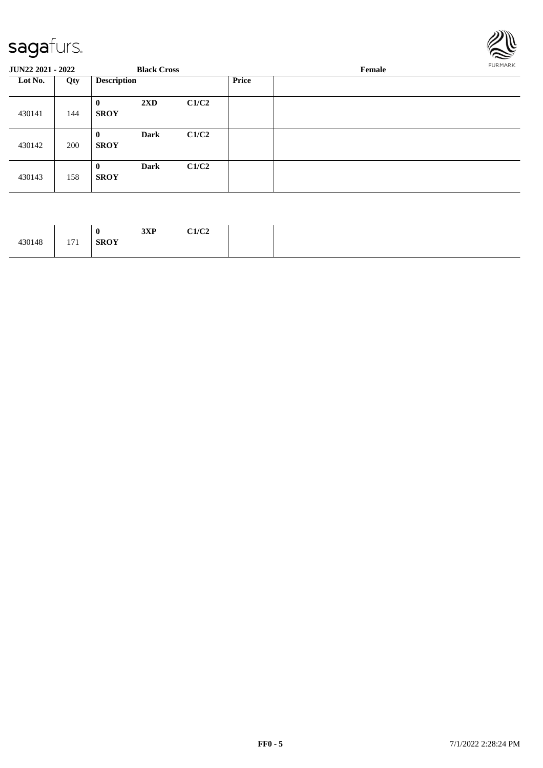

| <b>JUN22 2021 - 2022</b> |     |                         | <b>Black Cross</b> |       |              | Female |  |  |  |
|--------------------------|-----|-------------------------|--------------------|-------|--------------|--------|--|--|--|
| Lot No.                  | Qty | <b>Description</b>      |                    |       | <b>Price</b> |        |  |  |  |
| 430141                   | 144 | $\bf{0}$<br><b>SROY</b> | 2XD                | C1/C2 |              |        |  |  |  |
| 430142                   | 200 | $\bf{0}$<br><b>SROY</b> | <b>Dark</b>        | C1/C2 |              |        |  |  |  |
| 430143                   | 158 | $\bf{0}$<br><b>SROY</b> | <b>Dark</b>        | C1/C2 |              |        |  |  |  |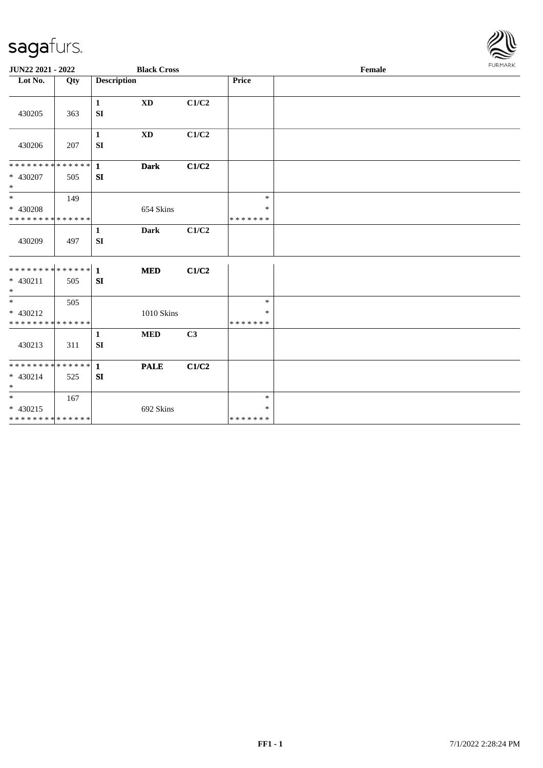

| JUN22 2021 - 2022                                 |     |                    | <b>Black Cross</b> |                |                                   | Female |  |
|---------------------------------------------------|-----|--------------------|--------------------|----------------|-----------------------------------|--------|--|
| Lot No.                                           | Qty | <b>Description</b> |                    |                | Price                             |        |  |
| 430205                                            | 363 | $\mathbf{1}$<br>SI | <b>XD</b>          | C1/C2          |                                   |        |  |
| 430206                                            | 207 | $\mathbf{1}$<br>SI | <b>XD</b>          | C1/C2          |                                   |        |  |
| ******** <mark>******</mark> 1<br>* 430207<br>$*$ | 505 | SI                 | <b>Dark</b>        | C1/C2          |                                   |        |  |
| $\ast$<br>* 430208<br>* * * * * * * * * * * * * * | 149 |                    | 654 Skins          |                | $\ast$<br>$\ast$<br>* * * * * * * |        |  |
| 430209                                            | 497 | $\mathbf{1}$<br>SI | <b>Dark</b>        | C1/C2          |                                   |        |  |
| ************** 1<br>$* 430211$<br>$\ast$          | 505 | SI                 | <b>MED</b>         | C1/C2          |                                   |        |  |
| $*$<br>* 430212<br>* * * * * * * * * * * * * *    | 505 |                    | 1010 Skins         |                | $\ast$<br>*<br>* * * * * * *      |        |  |
| 430213                                            | 311 | $\mathbf{1}$<br>SI | $\bf MED$          | C <sub>3</sub> |                                   |        |  |
| $* 430214$<br>$\ast$                              | 525 | SI                 | <b>PALE</b>        | C1/C2          |                                   |        |  |
| $*$<br>$* 430215$<br>* * * * * * * * * * * * * *  | 167 |                    | 692 Skins          |                | $\ast$<br>$\ast$<br>*******       |        |  |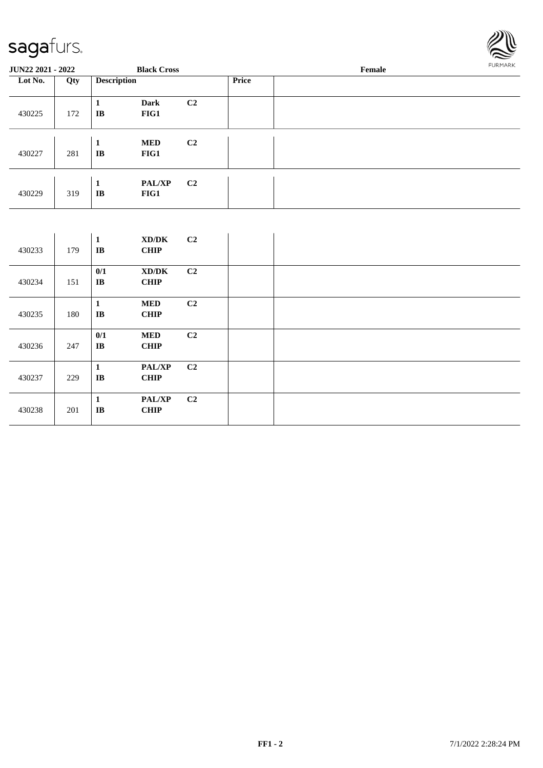

| <b>JUN22 2021 - 2022</b> |     |                    | <b>Black Cross</b>    |                |              | Female | FURMARK |
|--------------------------|-----|--------------------|-----------------------|----------------|--------------|--------|---------|
| Lot No.                  | Qty | <b>Description</b> |                       |                | <b>Price</b> |        |         |
| 430225                   | 172 | 1<br>IB            | <b>Dark</b><br>FIG1   | C <sub>2</sub> |              |        |         |
| 430227                   | 281 | 1<br>IB            | <b>MED</b><br>FIG1    | C <sub>2</sub> |              |        |         |
| 430229                   | 319 | 1<br>IB            | <b>PAL/XP</b><br>FIG1 | C <sub>2</sub> |              |        |         |

| 430233 | 179 | 1<br>$\mathbf{I}$ <b>B</b>   | XD/DK<br><b>CHIP</b>         | C2             |  |
|--------|-----|------------------------------|------------------------------|----------------|--|
| 430234 | 151 | 0/1<br>$\mathbf{I}$ <b>B</b> | XD/DK<br><b>CHIP</b>         | C2             |  |
| 430235 | 180 | 1<br>$\mathbf{I}$ <b>B</b>   | <b>MED</b><br><b>CHIP</b>    | C2             |  |
| 430236 | 247 | 0/1<br>$\mathbf{I}$ <b>B</b> | <b>MED</b><br><b>CHIP</b>    | C <sub>2</sub> |  |
| 430237 | 229 | 1<br>$\mathbf{I}\mathbf{B}$  | <b>PAL/XP</b><br><b>CHIP</b> | C2             |  |
| 430238 | 201 | $\mathbf{1}$<br>IB           | <b>PAL/XP</b><br><b>CHIP</b> | C <sub>2</sub> |  |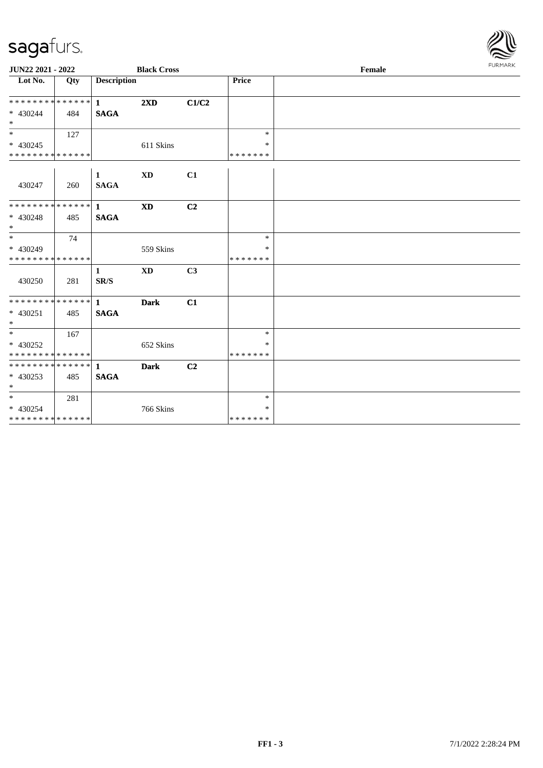

| JUN22 2021 - 2022                                                     |     |                             | <b>Black Cross</b>      |                |                                   | Female | <b>FURMARK</b> |
|-----------------------------------------------------------------------|-----|-----------------------------|-------------------------|----------------|-----------------------------------|--------|----------------|
| $\overline{\phantom{1}}$ Lot No.                                      | Qty | <b>Description</b>          |                         |                | Price                             |        |                |
| * * * * * * * * * * * * * * *<br>$* 430244$<br>$*$                    | 484 | $\vert$ 1<br><b>SAGA</b>    | $2\mathbf{X}\mathbf{D}$ | C1/C2          |                                   |        |                |
| $*$<br>$* 430245$<br>* * * * * * * * * * * * * *                      | 127 |                             | 611 Skins               |                | $\ast$<br>*<br>* * * * * * *      |        |                |
| 430247                                                                | 260 | $\mathbf{1}$<br><b>SAGA</b> | <b>XD</b>               | C1             |                                   |        |                |
| **************<br>$* 430248$<br>$\ast$                                | 485 | $\mathbf{1}$<br><b>SAGA</b> | <b>XD</b>               | C <sub>2</sub> |                                   |        |                |
| $\overline{\phantom{a}^*}$<br>* 430249<br>* * * * * * * * * * * * * * | 74  |                             | 559 Skins               |                | $\ast$<br>∗<br>* * * * * * *      |        |                |
| 430250                                                                | 281 | 1<br>SR/S                   | <b>XD</b>               | C <sub>3</sub> |                                   |        |                |
| **************<br>$* 430251$<br>$\ast$                                | 485 | $\mathbf{1}$<br><b>SAGA</b> | <b>Dark</b>             | C1             |                                   |        |                |
| $\overline{\phantom{0}}$<br>* 430252<br>* * * * * * * * * * * * * *   | 167 |                             | 652 Skins               |                | $\ast$<br>$\ast$<br>* * * * * * * |        |                |
| ************** 1<br>* 430253<br>$\ast$                                | 485 | <b>SAGA</b>                 | <b>Dark</b>             | C2             |                                   |        |                |
| $\frac{1}{*}$<br>* 430254<br>**************                           | 281 |                             | 766 Skins               |                | $\ast$<br>$\ast$<br>* * * * * * * |        |                |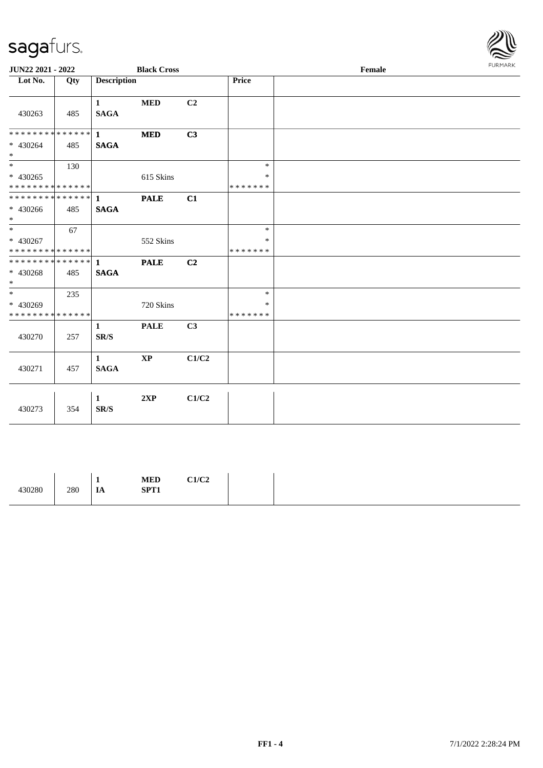

| JUN22 2021 - 2022                                                     |     |                                          | <b>Black Cross</b>     |                |                                   | Female | <b>FURPIARR</b> |
|-----------------------------------------------------------------------|-----|------------------------------------------|------------------------|----------------|-----------------------------------|--------|-----------------|
| Lot No.                                                               | Qty | <b>Description</b>                       |                        |                | Price                             |        |                 |
| 430263                                                                | 485 | $\mathbf{1}$<br><b>SAGA</b>              | <b>MED</b>             | C <sub>2</sub> |                                   |        |                 |
| ******** <mark>******</mark><br>* 430264<br>$\ast$                    | 485 | $\mathbf{1}$<br><b>SAGA</b>              | <b>MED</b>             | C3             |                                   |        |                 |
| $\overline{\phantom{0}}$<br>$* 430265$<br>* * * * * * * * * * * * * * | 130 |                                          | 615 Skins              |                | $\ast$<br>$\ast$<br>* * * * * * * |        |                 |
| ************** 1<br>$* 430266$<br>$*$                                 | 485 | <b>SAGA</b>                              | <b>PALE</b>            | C1             |                                   |        |                 |
| $*$<br>* 430267<br>* * * * * * * * * * * * * *                        | 67  |                                          | 552 Skins              |                | $\ast$<br>$\ast$<br>* * * * * * * |        |                 |
| **************<br>$* 430268$<br>$\ast$                                | 485 | $\mathbf{1}$<br><b>SAGA</b>              | <b>PALE</b>            | C2             |                                   |        |                 |
| $\overline{\ }$<br>* 430269<br>* * * * * * * * * * * * * *            | 235 |                                          | 720 Skins              |                | $\ast$<br>$\ast$<br>* * * * * * * |        |                 |
| 430270                                                                | 257 | $\mathbf{1}$<br>$\mathbf{SR}/\mathbf{S}$ | <b>PALE</b>            | C3             |                                   |        |                 |
| 430271                                                                | 457 | $\mathbf{1}$<br><b>SAGA</b>              | $\mathbf{X}\mathbf{P}$ | C1/C2          |                                   |        |                 |
| 430273                                                                | 354 | $\mathbf{1}$<br>SR/S                     | 2XP                    | C1/C2          |                                   |        |                 |

|--|--|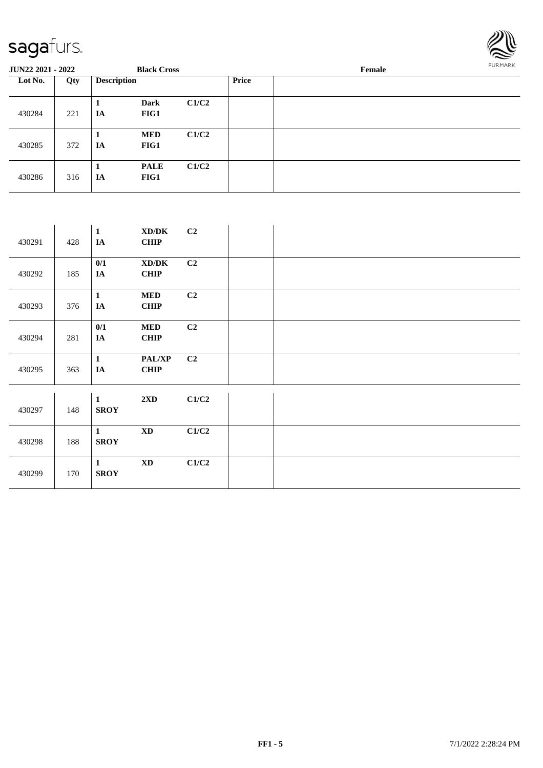

| <b>JUN22 2021 - 2022</b> |     |                    | <b>Black Cross</b>  |       |              | Female | <b>FURMARK</b> |
|--------------------------|-----|--------------------|---------------------|-------|--------------|--------|----------------|
| Lot No.                  | Qty | <b>Description</b> |                     |       | <b>Price</b> |        |                |
| 430284                   | 221 | 1<br>IA            | Dark<br>FIG1        | C1/C2 |              |        |                |
| 430285                   | 372 | 1<br>IA            | <b>MED</b><br>FIG1  | C1/C2 |              |        |                |
| 430286                   | 316 | 1<br>IA            | <b>PALE</b><br>FIG1 | C1/C2 |              |        |                |

| 430291 | 428 | $\mathbf{1}$<br>IA          | XD/DK<br><b>CHIP</b>                        | C2    |  |
|--------|-----|-----------------------------|---------------------------------------------|-------|--|
| 430292 | 185 | 0/1<br>IA                   | $\bold{X}\bold{D}/\bold{D}\bold{K}$<br>CHIP | C2    |  |
| 430293 | 376 | $\mathbf{1}$<br>IA          | <b>MED</b><br><b>CHIP</b>                   | C2    |  |
| 430294 | 281 | 0/1<br>$I\!\!A$             | <b>MED</b><br><b>CHIP</b>                   | C2    |  |
| 430295 | 363 | $\mathbf{1}$<br>$I\!\!A$    | <b>PAL/XP</b><br><b>CHIP</b>                | C2    |  |
| 430297 | 148 | $\mathbf{1}$<br><b>SROY</b> | $2\mathbf{X}\mathbf{D}$                     | C1/C2 |  |
| 430298 | 188 | $\mathbf{1}$<br><b>SROY</b> | $\boldsymbol{\mathrm{XD}}$                  | C1/C2 |  |
| 430299 | 170 | $\mathbf{1}$<br><b>SROY</b> | $\mathbf{X}\mathbf{D}$                      | C1/C2 |  |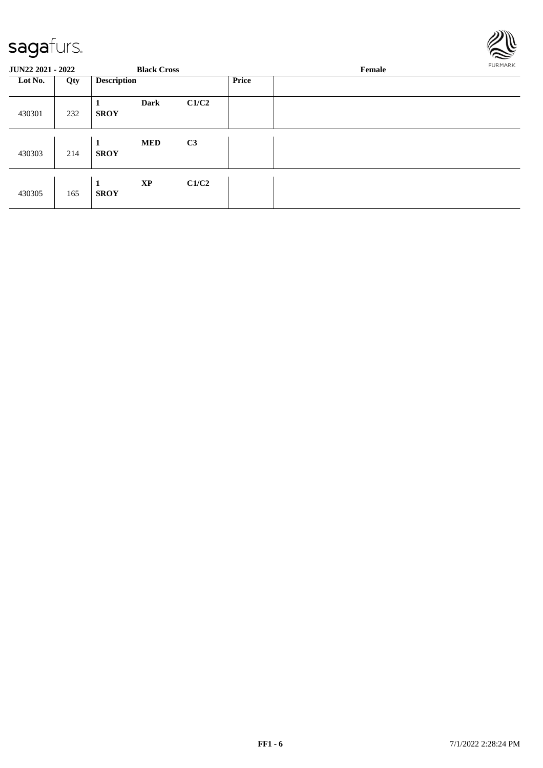

| <b>JUN22 2021 - 2022</b> |     |                    | <b>Black Cross</b> |       |       | Female | FURMARK |
|--------------------------|-----|--------------------|--------------------|-------|-------|--------|---------|
| Lot No.                  | Qty | <b>Description</b> |                    |       | Price |        |         |
| 430301                   | 232 | <b>SROY</b>        | <b>Dark</b>        | C1/C2 |       |        |         |
| 430303                   | 214 | 1<br><b>SROY</b>   | <b>MED</b>         | C3    |       |        |         |
| 430305                   | 165 | 1<br><b>SROY</b>   | <b>XP</b>          | C1/C2 |       |        |         |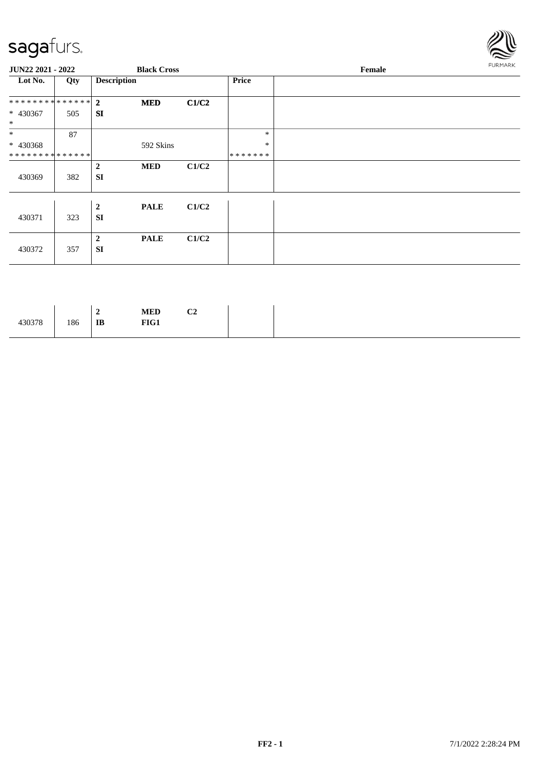

| JUN22 2021 - 2022             |     |                               | <b>Black Cross</b> |       |              | Female | FURMARK |
|-------------------------------|-----|-------------------------------|--------------------|-------|--------------|--------|---------|
| Lot No.                       | Qty | <b>Description</b>            |                    |       | <b>Price</b> |        |         |
| ************** 2              |     |                               | <b>MED</b>         | C1/C2 |              |        |         |
| * 430367<br>$\ast$            | 505 | <b>SI</b>                     |                    |       |              |        |         |
| $\ast$                        | 87  |                               |                    |       | $\ast$       |        |         |
| * 430368                      |     |                               | 592 Skins          |       | $\ast$       |        |         |
| * * * * * * * * * * * * * * * |     |                               |                    |       | *******      |        |         |
| 430369                        | 382 | $\boldsymbol{2}$<br><b>SI</b> | <b>MED</b>         | C1/C2 |              |        |         |
| 430371                        | 323 | $\boldsymbol{2}$<br><b>SI</b> | <b>PALE</b>        | C1/C2 |              |        |         |
| 430372                        | 357 | $\overline{2}$<br><b>SI</b>   | <b>PALE</b>        | C1/C2 |              |        |         |

| 430378 | 186 | $\rightarrow$<br>∸<br>$\mathbf{I}\mathbf{B}$ | $\bf MED$<br>FIG1 | C <sub>2</sub> |
|--------|-----|----------------------------------------------|-------------------|----------------|
|--------|-----|----------------------------------------------|-------------------|----------------|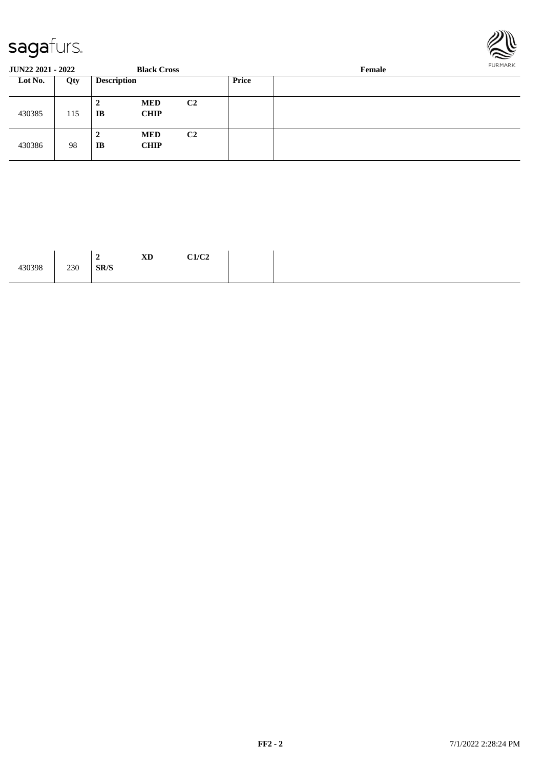

| <b>JUN22 2021 - 2022</b> |     |                    | <b>Black Cross</b>        |                |       | Female | <b>FURPIARR</b> |
|--------------------------|-----|--------------------|---------------------------|----------------|-------|--------|-----------------|
| Lot No.                  | Qty | <b>Description</b> |                           |                | Price |        |                 |
| 430385                   | 115 | 2<br>IB            | <b>MED</b><br><b>CHIP</b> | C <sub>2</sub> |       |        |                 |
| 430386                   | 98  | 2<br>IB            | <b>MED</b><br><b>CHIP</b> | C <sub>2</sub> |       |        |                 |

|        |             |      | <b>XD</b> | C1/C2 |
|--------|-------------|------|-----------|-------|
| 430398 | 230<br>$ -$ | SR/S |           |       |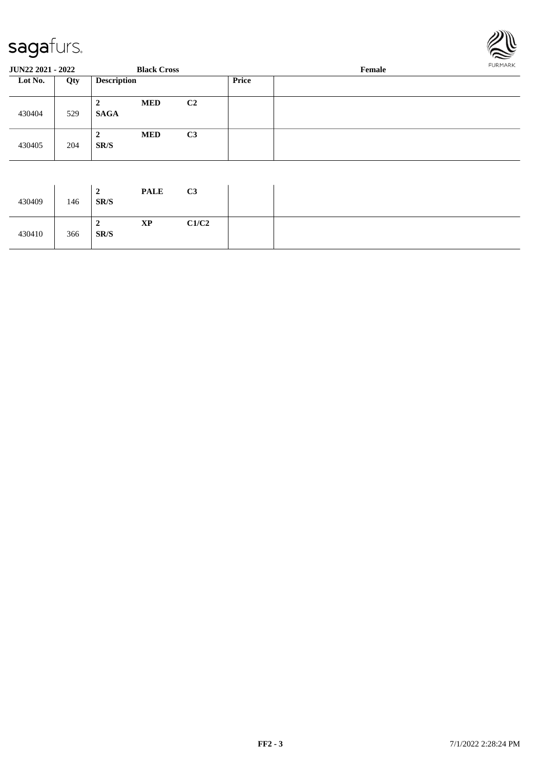

| <b>JUN22 2021 - 2022</b> |     |                               | <b>Black Cross</b> |                |              | Female | <b>FURMARK</b> |
|--------------------------|-----|-------------------------------|--------------------|----------------|--------------|--------|----------------|
| Lot No.                  | Qty | <b>Description</b>            |                    |                | <b>Price</b> |        |                |
| 430404                   | 529 | $\overline{2}$<br><b>SAGA</b> | <b>MED</b>         | C <sub>2</sub> |              |        |                |
| 430405                   | 204 | $\overline{2}$<br>SR/S        | <b>MED</b>         | C3             |              |        |                |
|                          |     | $\overline{2}$                | <b>PALE</b>        | C <sub>3</sub> |              |        |                |

| 430409 | 146 | ◢<br>SR/S | <b>TALL</b> | $\mathbf{U}$ |  |
|--------|-----|-----------|-------------|--------------|--|
| 430410 | 366 | ∼<br>SR/S | <b>XP</b>   | C1/C2        |  |